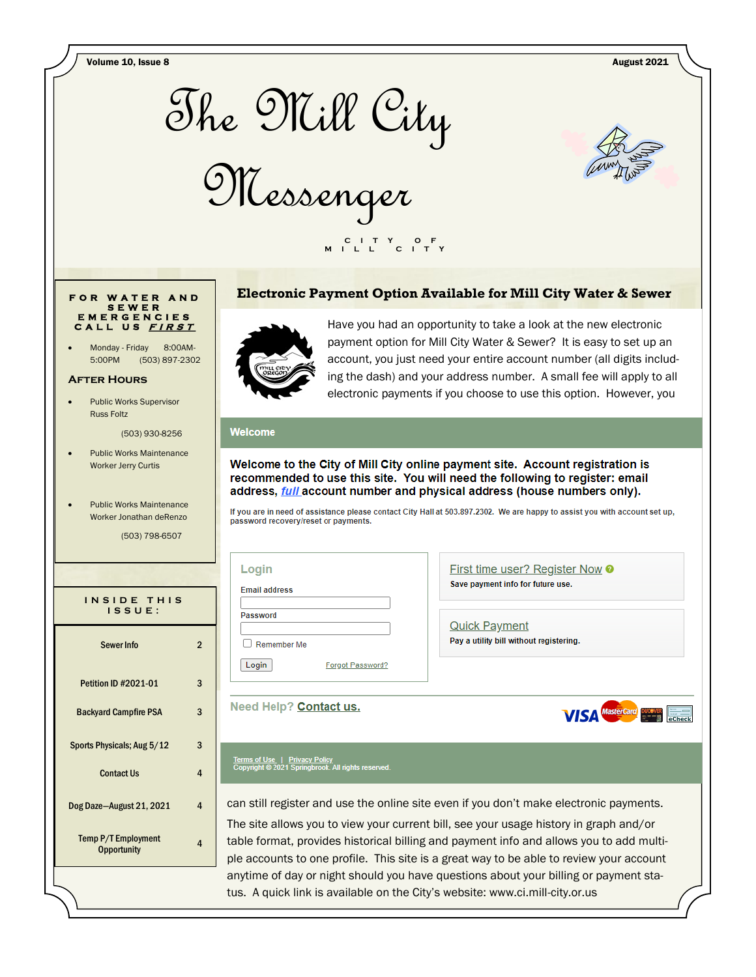

**VISA** MasterCard DUCENTR ELECTRICITY

## **F O R W A T E R A N D S E W E R E M E R G E N C I E S C A L L U S <sup>F</sup> <sup>I</sup> <sup>R</sup> <sup>S</sup> <sup>T</sup>**

Monday - Friday 8:00AM-5:00PM (503) 897-2302

#### **After Hours**

Public Works Supervisor Russ Foltz

(503) 930-8256

- Public Works Maintenance Worker Jerry Curtis
- Public Works Maintenance Worker Jonathan deRenzo

(503) 798-6507

| INSIDE THIS<br>ISSUE:                     |   |  |
|-------------------------------------------|---|--|
| Sewer Info                                | 2 |  |
| <b>Petition ID #2021-01</b>               | 3 |  |
| <b>Backyard Campfire PSA</b>              | 3 |  |
| Sports Physicals; Aug 5/12                | 3 |  |
| <b>Contact Us</b>                         | 4 |  |
| Dog Daze-August 21, 2021                  | 4 |  |
| Temp P/T Employment<br><b>Opportunity</b> | Δ |  |



can still register and use the online site even if you don't make electronic payments.

The site allows you to view your current bill, see your usage history in graph and/or table format, provides historical billing and payment info and allows you to add multiple accounts to one profile. This site is a great way to be able to review your account anytime of day or night should you have questions about your billing or payment status. A quick link is available on the City's website: www.ci.mill-city.or.us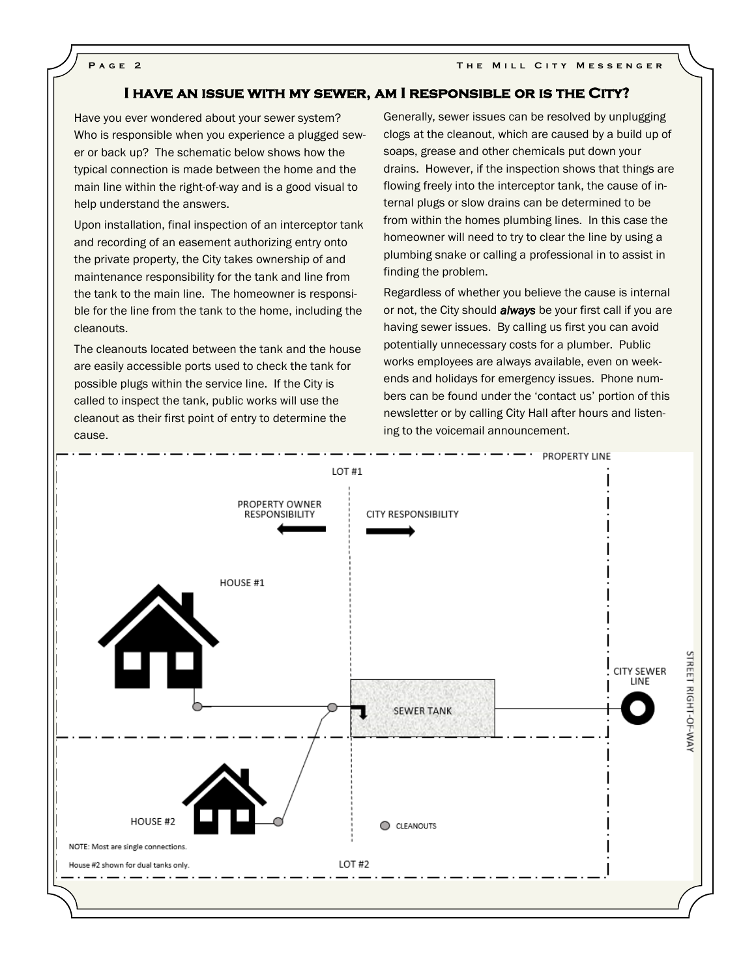#### **I have an issue with my sewer, am I responsible or is the City?**

Have you ever wondered about your sewer system? Who is responsible when you experience a plugged sewer or back up? The schematic below shows how the typical connection is made between the home and the main line within the right-of-way and is a good visual to help understand the answers.

Upon installation, final inspection of an interceptor tank and recording of an easement authorizing entry onto the private property, the City takes ownership of and maintenance responsibility for the tank and line from the tank to the main line. The homeowner is responsible for the line from the tank to the home, including the cleanouts.

The cleanouts located between the tank and the house are easily accessible ports used to check the tank for possible plugs within the service line. If the City is called to inspect the tank, public works will use the cleanout as their first point of entry to determine the cause.

Generally, sewer issues can be resolved by unplugging clogs at the cleanout, which are caused by a build up of soaps, grease and other chemicals put down your drains. However, if the inspection shows that things are flowing freely into the interceptor tank, the cause of internal plugs or slow drains can be determined to be from within the homes plumbing lines. In this case the homeowner will need to try to clear the line by using a plumbing snake or calling a professional in to assist in finding the problem.

Regardless of whether you believe the cause is internal or not, the City should *always* be your first call if you are having sewer issues. By calling us first you can avoid potentially unnecessary costs for a plumber. Public works employees are always available, even on weekends and holidays for emergency issues. Phone numbers can be found under the 'contact us' portion of this newsletter or by calling City Hall after hours and listening to the voicemail announcement.

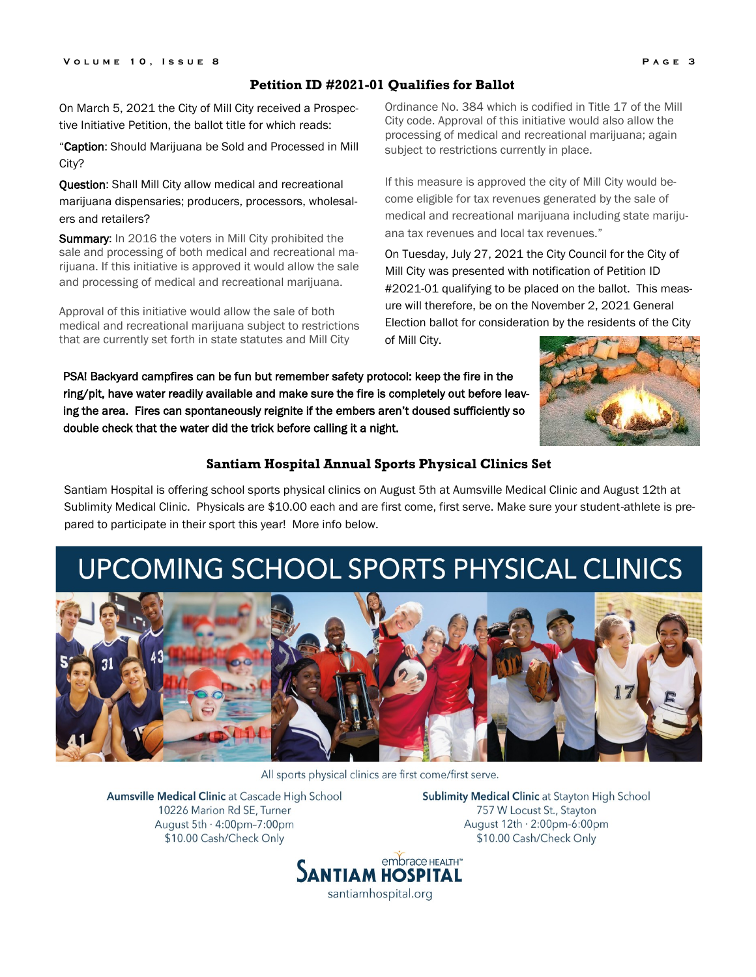#### **Petition ID #2021-01 Qualifies for Ballot**

On March 5, 2021 the City of Mill City received a Prospective Initiative Petition, the ballot title for which reads:

"Caption: Should Marijuana be Sold and Processed in Mill City?

Question: Shall Mill City allow medical and recreational marijuana dispensaries; producers, processors, wholesalers and retailers?

Summary: In 2016 the voters in Mill City prohibited the sale and processing of both medical and recreational marijuana. If this initiative is approved it would allow the sale and processing of medical and recreational marijuana.

Approval of this initiative would allow the sale of both medical and recreational marijuana subject to restrictions that are currently set forth in state statutes and Mill City

Ordinance No. 384 which is codified in Title 17 of the Mill City code. Approval of this initiative would also allow the processing of medical and recreational marijuana; again subject to restrictions currently in place.

If this measure is approved the city of Mill City would become eligible for tax revenues generated by the sale of medical and recreational marijuana including state marijuana tax revenues and local tax revenues."

On Tuesday, July 27, 2021 the City Council for the City of Mill City was presented with notification of Petition ID #2021-01 qualifying to be placed on the ballot. This measure will therefore, be on the November 2, 2021 General Election ballot for consideration by the residents of the City of Mill City.

PSA! Backyard campfires can be fun but remember safety protocol: keep the fire in the ring/pit, have water readily available and make sure the fire is completely out before leaving the area. Fires can spontaneously reignite if the embers aren't doused sufficiently so double check that the water did the trick before calling it a night.



#### **Santiam Hospital Annual Sports Physical Clinics Set**

Santiam Hospital is offering school sports physical clinics on August 5th at Aumsville Medical Clinic and August 12th at Sublimity Medical Clinic. Physicals are \$10.00 each and are first come, first serve. Make sure your student-athlete is prepared to participate in their sport this year! More info below.

# UPCOMING SCHOOL SPORTS PHYSICAL CLINICS



All sports physical clinics are first come/first serve.

Aumsville Medical Clinic at Cascade High School 10226 Marion Rd SE, Turner August 5th · 4:00pm-7:00pm \$10.00 Cash/Check Only

Sublimity Medical Clinic at Stayton High School 757 W Locust St., Stayton August  $12th \cdot 2:00pm-6:00pm$ \$10.00 Cash/Check Only